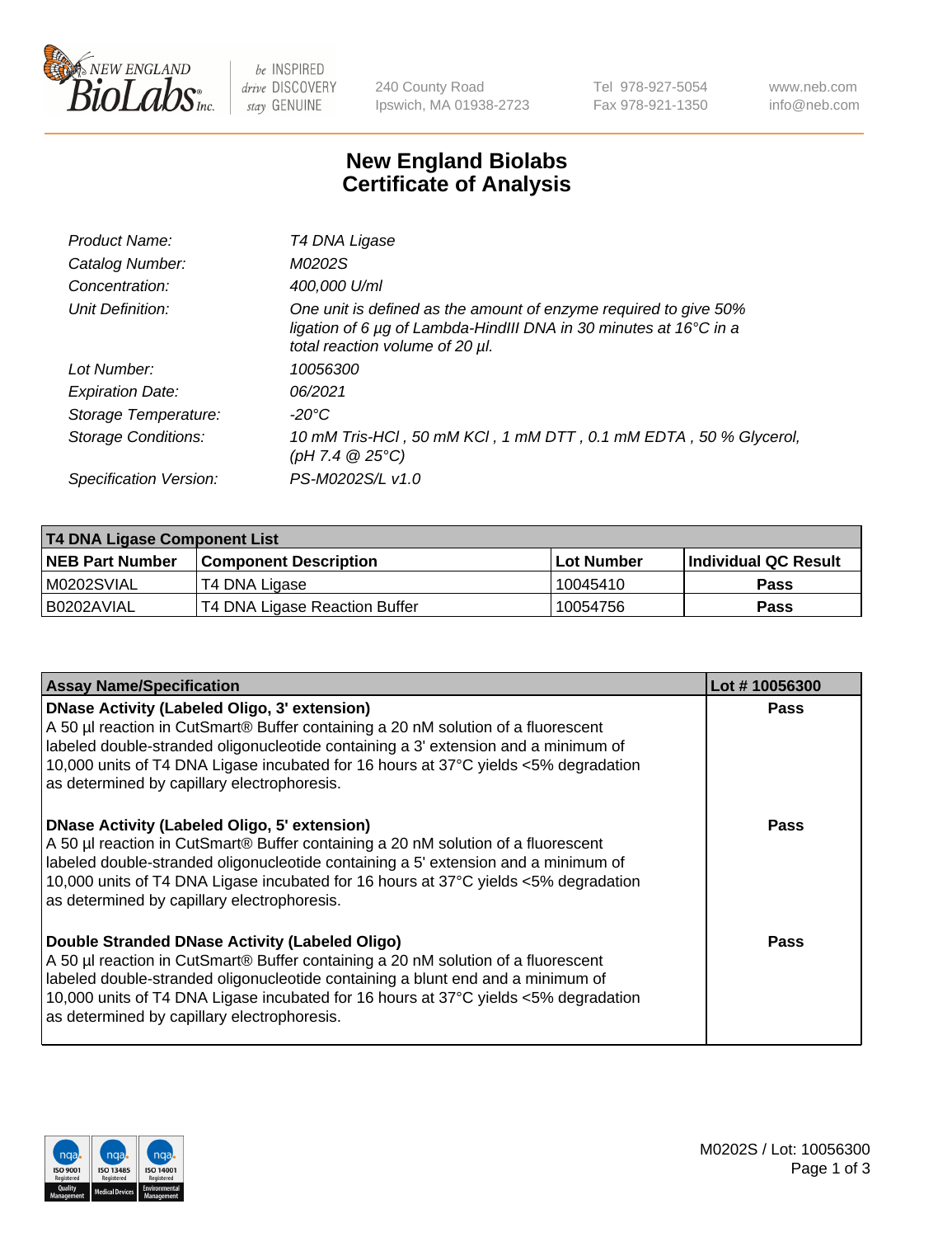

be INSPIRED drive DISCOVERY stay GENUINE

240 County Road Ipswich, MA 01938-2723 Tel 978-927-5054 Fax 978-921-1350 www.neb.com info@neb.com

## **New England Biolabs Certificate of Analysis**

| Product Name:              | T4 DNA Ligase                                                                                                                                                                           |
|----------------------------|-----------------------------------------------------------------------------------------------------------------------------------------------------------------------------------------|
| Catalog Number:            | M0202S                                                                                                                                                                                  |
| Concentration:             | 400,000 U/ml                                                                                                                                                                            |
| Unit Definition:           | One unit is defined as the amount of enzyme required to give 50%<br>ligation of 6 $\mu$ g of Lambda-HindIII DNA in 30 minutes at 16 $\degree$ C in a<br>total reaction volume of 20 µl. |
| Lot Number:                | 10056300                                                                                                                                                                                |
| <b>Expiration Date:</b>    | 06/2021                                                                                                                                                                                 |
| Storage Temperature:       | -20°C                                                                                                                                                                                   |
| <b>Storage Conditions:</b> | 10 mM Tris-HCl, 50 mM KCl, 1 mM DTT, 0.1 mM EDTA, 50 % Glycerol,<br>(pH 7.4 $@25°C$ )                                                                                                   |
| Specification Version:     | PS-M0202S/L v1.0                                                                                                                                                                        |

| T4 DNA Ligase Component List |                               |                   |                      |  |  |
|------------------------------|-------------------------------|-------------------|----------------------|--|--|
| <b>NEB Part Number</b>       | <b>Component Description</b>  | <b>Lot Number</b> | Individual QC Result |  |  |
| IM0202SVIAL                  | T4 DNA Ligase                 | 10045410          | <b>Pass</b>          |  |  |
| I B0202AVIAL                 | T4 DNA Ligase Reaction Buffer | 10054756          | <b>Pass</b>          |  |  |

| <b>Assay Name/Specification</b>                                                                                                                                                                                                                                                                                                                                      | Lot #10056300 |
|----------------------------------------------------------------------------------------------------------------------------------------------------------------------------------------------------------------------------------------------------------------------------------------------------------------------------------------------------------------------|---------------|
| <b>DNase Activity (Labeled Oligo, 3' extension)</b><br>A 50 µl reaction in CutSmart® Buffer containing a 20 nM solution of a fluorescent<br>labeled double-stranded oligonucleotide containing a 3' extension and a minimum of<br>10,000 units of T4 DNA Ligase incubated for 16 hours at 37°C yields <5% degradation<br>as determined by capillary electrophoresis. | <b>Pass</b>   |
| <b>DNase Activity (Labeled Oligo, 5' extension)</b><br>A 50 µl reaction in CutSmart® Buffer containing a 20 nM solution of a fluorescent<br>labeled double-stranded oligonucleotide containing a 5' extension and a minimum of<br>10,000 units of T4 DNA Ligase incubated for 16 hours at 37°C yields <5% degradation<br>as determined by capillary electrophoresis. | Pass          |
| Double Stranded DNase Activity (Labeled Oligo)<br>A 50 µl reaction in CutSmart® Buffer containing a 20 nM solution of a fluorescent<br>labeled double-stranded oligonucleotide containing a blunt end and a minimum of<br>10,000 units of T4 DNA Ligase incubated for 16 hours at 37°C yields <5% degradation<br>as determined by capillary electrophoresis.         | Pass          |

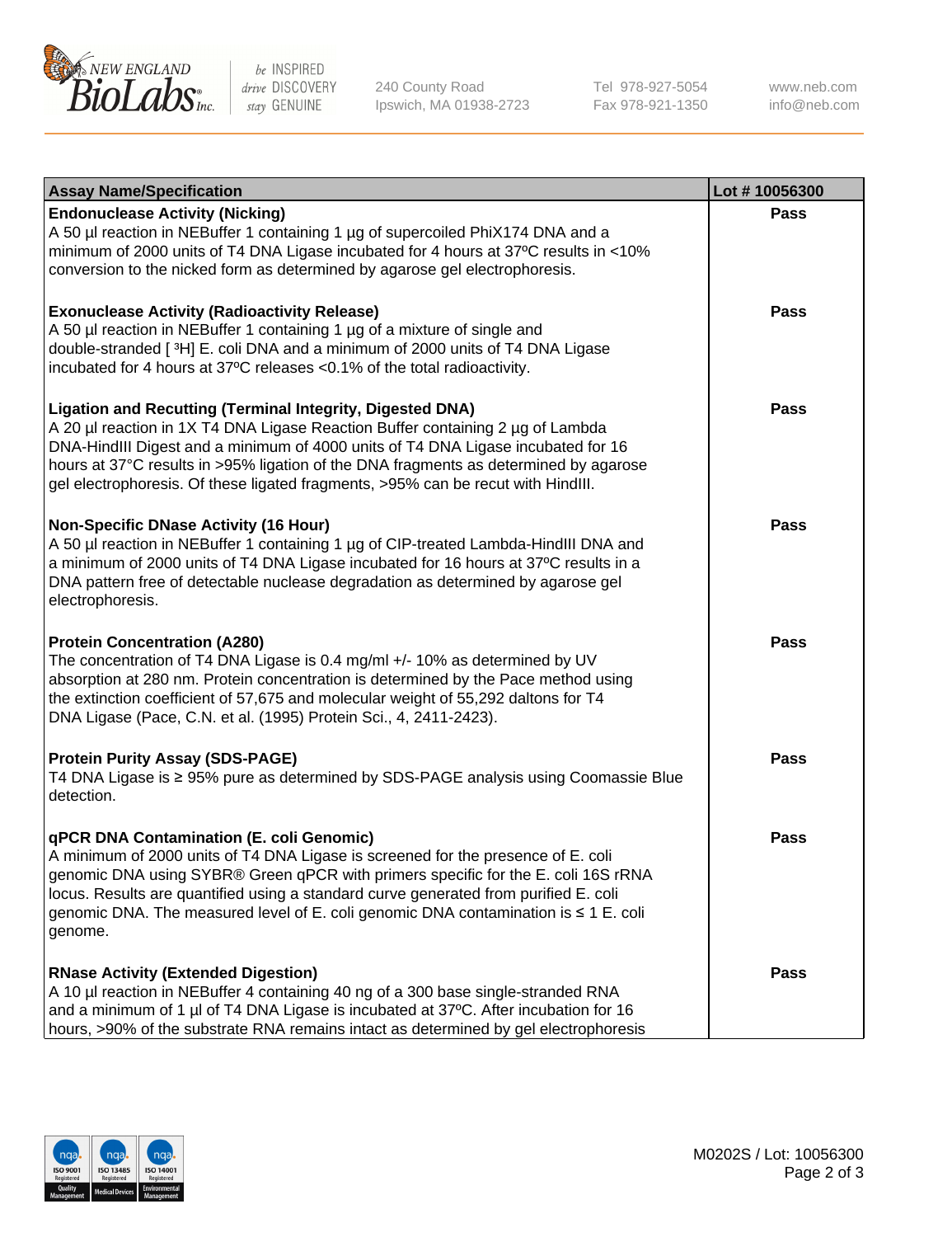

be INSPIRED drive DISCOVERY stay GENUINE

240 County Road Ipswich, MA 01938-2723 Tel 978-927-5054 Fax 978-921-1350

www.neb.com info@neb.com

| <b>Assay Name/Specification</b>                                                                                                                                                                                                                                                                                                                                                                                    | Lot #10056300 |
|--------------------------------------------------------------------------------------------------------------------------------------------------------------------------------------------------------------------------------------------------------------------------------------------------------------------------------------------------------------------------------------------------------------------|---------------|
| <b>Endonuclease Activity (Nicking)</b><br>A 50 µl reaction in NEBuffer 1 containing 1 µg of supercoiled PhiX174 DNA and a<br>minimum of 2000 units of T4 DNA Ligase incubated for 4 hours at 37°C results in <10%<br>conversion to the nicked form as determined by agarose gel electrophoresis.                                                                                                                   | <b>Pass</b>   |
| <b>Exonuclease Activity (Radioactivity Release)</b><br>A 50 µl reaction in NEBuffer 1 containing 1 µg of a mixture of single and<br>double-stranded [3H] E. coli DNA and a minimum of 2000 units of T4 DNA Ligase<br>incubated for 4 hours at 37°C releases <0.1% of the total radioactivity.                                                                                                                      | <b>Pass</b>   |
| <b>Ligation and Recutting (Terminal Integrity, Digested DNA)</b><br>A 20 µl reaction in 1X T4 DNA Ligase Reaction Buffer containing 2 µg of Lambda<br>DNA-HindIII Digest and a minimum of 4000 units of T4 DNA Ligase incubated for 16<br>hours at 37°C results in >95% ligation of the DNA fragments as determined by agarose<br>gel electrophoresis. Of these ligated fragments, >95% can be recut with HindIII. | <b>Pass</b>   |
| <b>Non-Specific DNase Activity (16 Hour)</b><br>A 50 µl reaction in NEBuffer 1 containing 1 µg of CIP-treated Lambda-HindIII DNA and<br>a minimum of 2000 units of T4 DNA Ligase incubated for 16 hours at 37°C results in a<br>DNA pattern free of detectable nuclease degradation as determined by agarose gel<br>electrophoresis.                                                                               | <b>Pass</b>   |
| <b>Protein Concentration (A280)</b><br>The concentration of T4 DNA Ligase is 0.4 mg/ml +/- 10% as determined by UV<br>absorption at 280 nm. Protein concentration is determined by the Pace method using<br>the extinction coefficient of 57,675 and molecular weight of 55,292 daltons for T4<br>DNA Ligase (Pace, C.N. et al. (1995) Protein Sci., 4, 2411-2423).                                                | <b>Pass</b>   |
| <b>Protein Purity Assay (SDS-PAGE)</b><br>T4 DNA Ligase is ≥ 95% pure as determined by SDS-PAGE analysis using Coomassie Blue<br>detection.                                                                                                                                                                                                                                                                        | <b>Pass</b>   |
| qPCR DNA Contamination (E. coli Genomic)<br>A minimum of 2000 units of T4 DNA Ligase is screened for the presence of E. coli<br>genomic DNA using SYBR® Green qPCR with primers specific for the E. coli 16S rRNA<br>locus. Results are quantified using a standard curve generated from purified E. coli<br>genomic DNA. The measured level of E. coli genomic DNA contamination is ≤ 1 E. coli<br>genome.        | Pass          |
| <b>RNase Activity (Extended Digestion)</b><br>A 10 µl reaction in NEBuffer 4 containing 40 ng of a 300 base single-stranded RNA<br>and a minimum of 1 µl of T4 DNA Ligase is incubated at 37°C. After incubation for 16<br>hours, >90% of the substrate RNA remains intact as determined by gel electrophoresis                                                                                                    | <b>Pass</b>   |